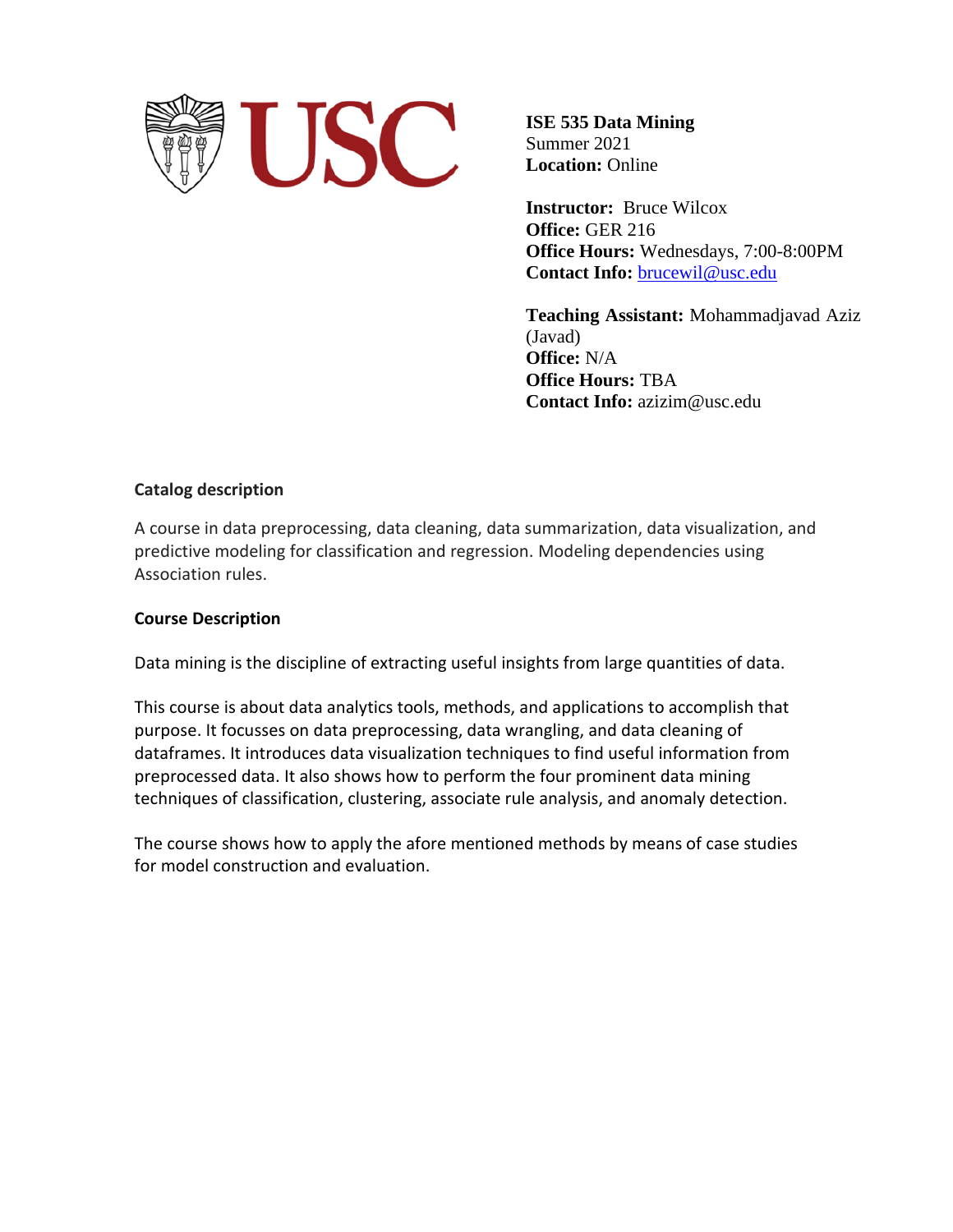

**ISE 535 Data Mining** Summer 2021 **Location:** Online

**Instructor:** Bruce Wilcox **Office:** GER 216 **Office Hours:** Wednesdays, 7:00-8:00PM **Contact Info:** [brucewil@usc.edu](mailto:brucewil@usc.edu)

**Teaching Assistant:** Mohammadjavad Aziz (Javad) **Office:** N/A **Office Hours:** TBA **Contact Info:** azizim@usc.edu

## **Catalog description**

A course in data preprocessing, data cleaning, data summarization, data visualization, and predictive modeling for classification and regression. Modeling dependencies using Association rules.

## **Course Description**

Data mining is the discipline of extracting useful insights from large quantities of data.

This course is about data analytics tools, methods, and applications to accomplish that purpose. It focusses on data preprocessing, data wrangling, and data cleaning of dataframes. It introduces data visualization techniques to find useful information from preprocessed data. It also shows how to perform the four prominent data mining techniques of classification, clustering, associate rule analysis, and anomaly detection.

The course shows how to apply the afore mentioned methods by means of case studies for model construction and evaluation.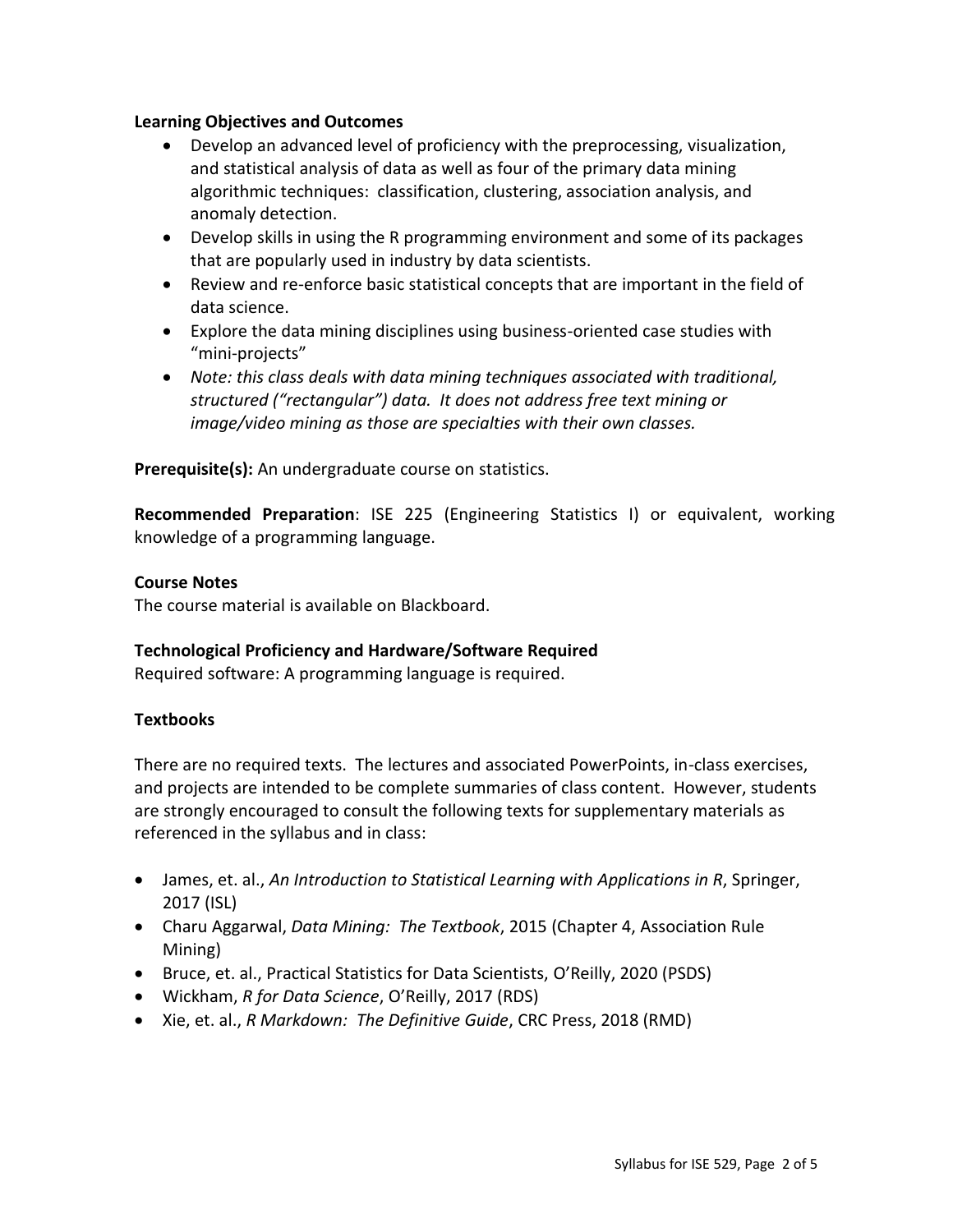## **Learning Objectives and Outcomes**

- Develop an advanced level of proficiency with the preprocessing, visualization, and statistical analysis of data as well as four of the primary data mining algorithmic techniques: classification, clustering, association analysis, and anomaly detection.
- Develop skills in using the R programming environment and some of its packages that are popularly used in industry by data scientists.
- Review and re-enforce basic statistical concepts that are important in the field of data science.
- Explore the data mining disciplines using business-oriented case studies with "mini-projects"
- *Note: this class deals with data mining techniques associated with traditional, structured ("rectangular") data. It does not address free text mining or image/video mining as those are specialties with their own classes.*

**Prerequisite(s):** An undergraduate course on statistics.

**Recommended Preparation**: [ISE 225](http://classes.usc.edu/term-20151/course/ise-225/) (Engineering Statistics I) or equivalent, working knowledge of a programming language.

## **Course Notes**

The course material is available on Blackboard.

## **Technological Proficiency and Hardware/Software Required**

Required software: A programming language is required.

## **Textbooks**

There are no required texts. The lectures and associated PowerPoints, in-class exercises, and projects are intended to be complete summaries of class content. However, students are strongly encouraged to consult the following texts for supplementary materials as referenced in the syllabus and in class:

- James, et. al., *An Introduction to Statistical Learning with Applications in R*, Springer, 2017 (ISL)
- Charu Aggarwal, *Data Mining: The Textbook*, 2015 (Chapter 4, Association Rule Mining)
- Bruce, et. al., Practical Statistics for Data Scientists, O'Reilly, 2020 (PSDS)
- Wickham, *R for Data Science*, O'Reilly, 2017 (RDS)
- Xie, et. al., *R Markdown: The Definitive Guide*, CRC Press, 2018 (RMD)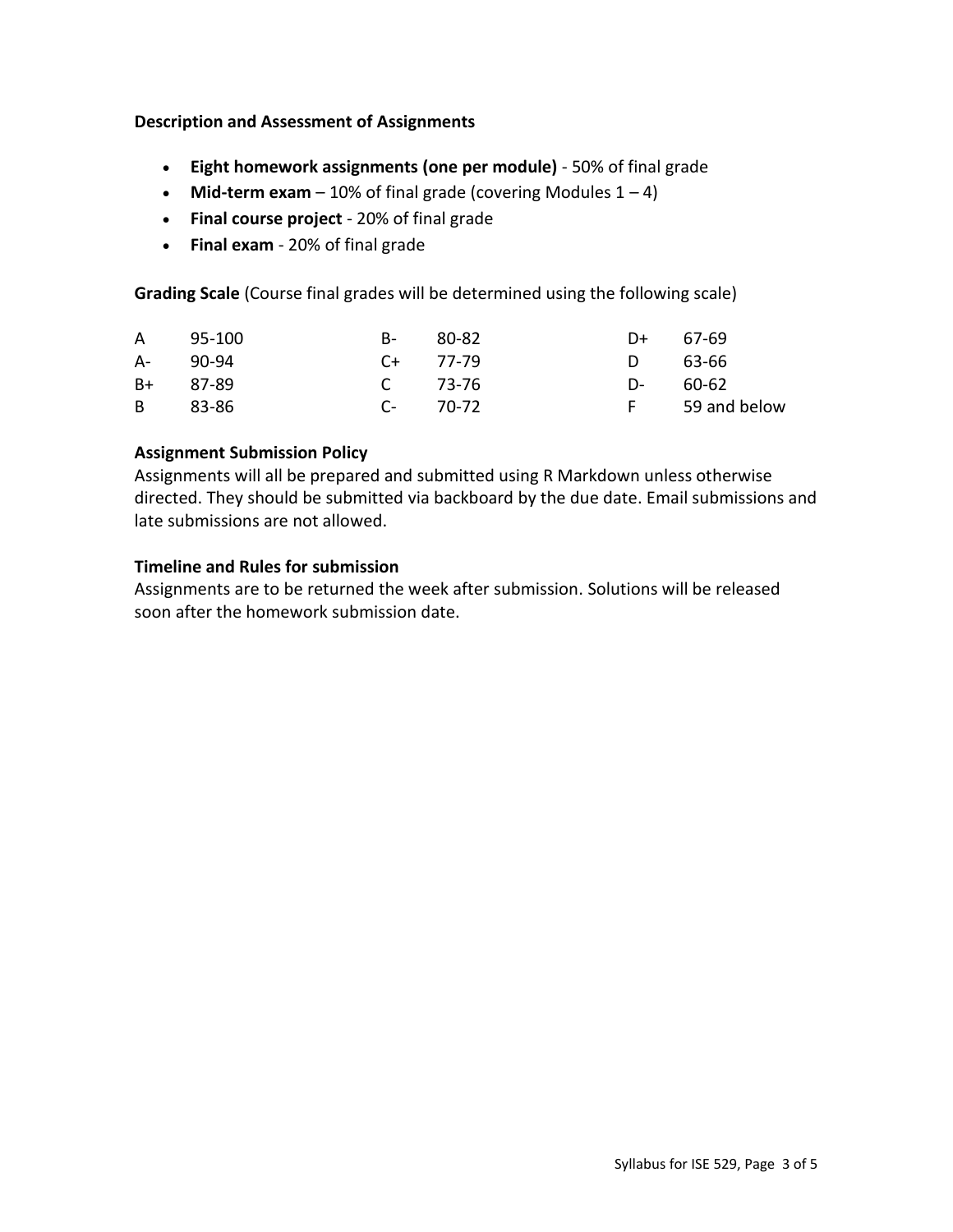## **Description and Assessment of Assignments**

- **Eight homework assignments (one per module)** 50% of final grade
- **Mid-term exam**  $-10\%$  of final grade (covering Modules  $1 4$ )
- **Final course project** 20% of final grade
- **Final exam**  20% of final grade

**Grading Scale** (Course final grades will be determined using the following scale)

|          | A 95-100 | B- 80-82      | $D+ 67-69$ |                |
|----------|----------|---------------|------------|----------------|
| A- 90-94 |          | $C_{+}$ 77-79 | D 63-66    |                |
| B+ 87-89 |          | C 73-76       | D- 60-62   |                |
| B 83-86  |          | $C-70-72$     |            | F 59 and below |

## **Assignment Submission Policy**

Assignments will all be prepared and submitted using R Markdown unless otherwise directed. They should be submitted via backboard by the due date. Email submissions and late submissions are not allowed.

## **Timeline and Rules for submission**

Assignments are to be returned the week after submission. Solutions will be released soon after the homework submission date.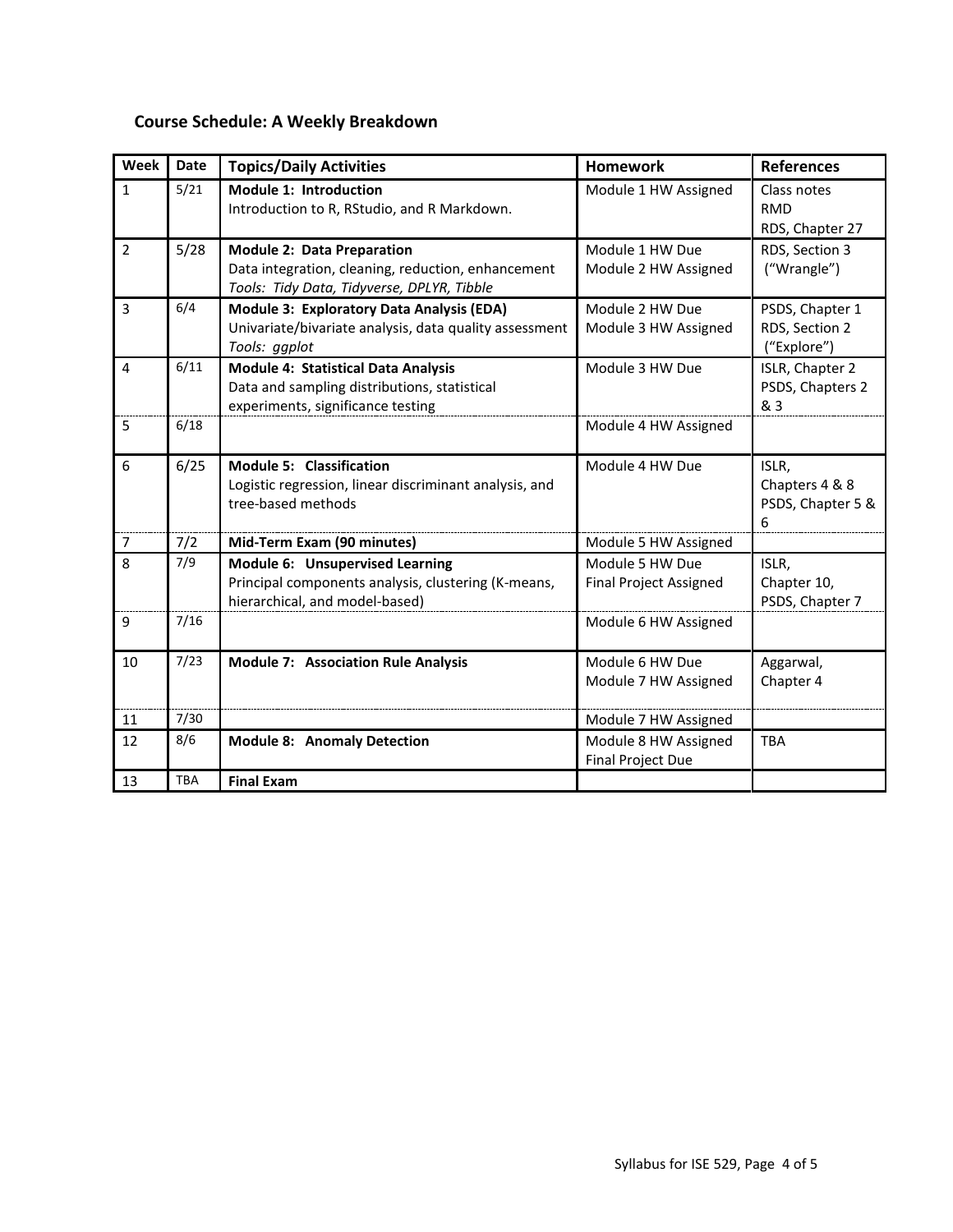# **Course Schedule: A Weekly Breakdown**

| Week           | <b>Date</b> | <b>Topics/Daily Activities</b>                                                                                                        | <b>Homework</b>                                  | <b>References</b>                                 |
|----------------|-------------|---------------------------------------------------------------------------------------------------------------------------------------|--------------------------------------------------|---------------------------------------------------|
| $\mathbf{1}$   | 5/21        | <b>Module 1: Introduction</b><br>Introduction to R, RStudio, and R Markdown.                                                          | Module 1 HW Assigned                             | Class notes<br><b>RMD</b><br>RDS, Chapter 27      |
| $\overline{2}$ | 5/28        | <b>Module 2: Data Preparation</b><br>Data integration, cleaning, reduction, enhancement<br>Tools: Tidy Data, Tidyverse, DPLYR, Tibble | Module 1 HW Due<br>Module 2 HW Assigned          | RDS, Section 3<br>("Wrangle")                     |
| 3              | 6/4         | Module 3: Exploratory Data Analysis (EDA)<br>Univariate/bivariate analysis, data quality assessment<br>Tools: ggplot                  | Module 2 HW Due<br>Module 3 HW Assigned          | PSDS, Chapter 1<br>RDS, Section 2<br>("Explore")  |
| $\overline{a}$ | 6/11        | <b>Module 4: Statistical Data Analysis</b><br>Data and sampling distributions, statistical<br>experiments, significance testing       | Module 3 HW Due                                  | ISLR, Chapter 2<br>PSDS, Chapters 2<br>& 3        |
| 5              | 6/18        |                                                                                                                                       | Module 4 HW Assigned                             |                                                   |
| 6              | 6/25        | <b>Module 5: Classification</b><br>Logistic regression, linear discriminant analysis, and<br>tree-based methods                       | Module 4 HW Due                                  | ISLR,<br>Chapters 4 & 8<br>PSDS, Chapter 5 &<br>6 |
| $\overline{7}$ | 7/2         | Mid-Term Exam (90 minutes)                                                                                                            | Module 5 HW Assigned                             |                                                   |
| 8              | 7/9         | Module 6: Unsupervised Learning<br>Principal components analysis, clustering (K-means,<br>hierarchical, and model-based)              | Module 5 HW Due<br><b>Final Project Assigned</b> | ISLR,<br>Chapter 10,<br>PSDS, Chapter 7           |
| 9              | 7/16        |                                                                                                                                       | Module 6 HW Assigned                             |                                                   |
| 10             | 7/23        | <b>Module 7: Association Rule Analysis</b>                                                                                            | Module 6 HW Due<br>Module 7 HW Assigned          | Aggarwal,<br>Chapter 4                            |
| 11             | 7/30        |                                                                                                                                       | Module 7 HW Assigned                             |                                                   |
| 12             | 8/6         | <b>Module 8: Anomaly Detection</b>                                                                                                    | Module 8 HW Assigned<br><b>Final Project Due</b> | <b>TBA</b>                                        |
| 13             | <b>TBA</b>  | <b>Final Exam</b>                                                                                                                     |                                                  |                                                   |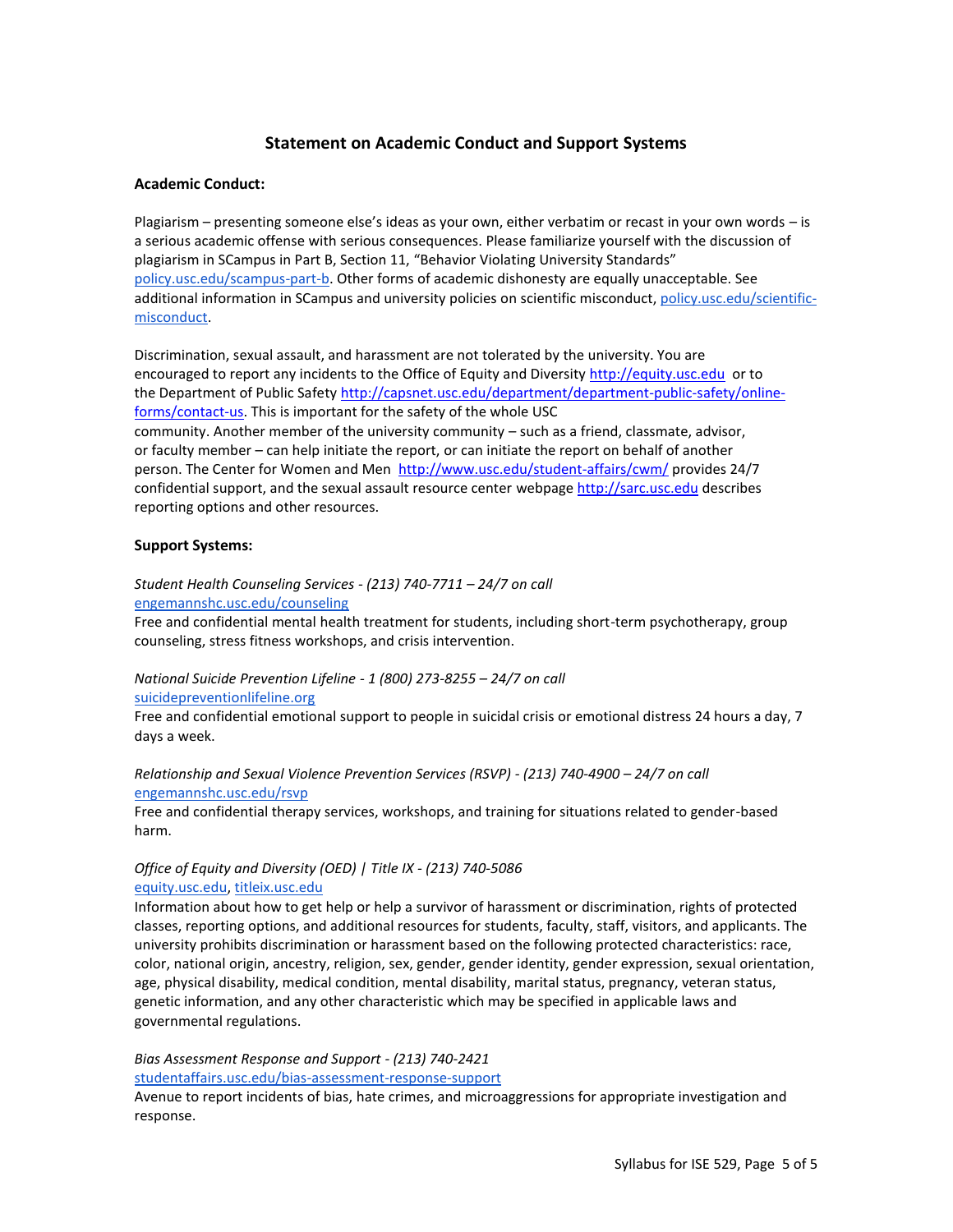## **Statement on Academic Conduct and Support Systems**

### **Academic Conduct:**

Plagiarism – presenting someone else's ideas as your own, either verbatim or recast in your own words – is a serious academic offense with serious consequences. Please familiarize yourself with the discussion of plagiarism in SCampus in Part B, Section 11, "Behavior Violating University Standards" [policy.usc.edu/scampus-part-b.](https://policy.usc.edu/scampus-part-b/) Other forms of academic dishonesty are equally unacceptable. See additional information in SCampus and university policies on scientific misconduct[, policy.usc.edu/scientific](http://policy.usc.edu/scientific-misconduct)[misconduct.](http://policy.usc.edu/scientific-misconduct)

Discrimination, sexual assault, and harassment are not tolerated by the university. You are encouraged to report any incidents to the Office of Equity and Diversit[y http://equity.usc.edu](http://equity.usc.edu/) or to the Department of Public Safety [http://capsnet.usc.edu/department/department-public-safety/online](http://capsnet.usc.edu/department/department-public-safety/online-forms/contact-us)[forms/contact-us.](http://capsnet.usc.edu/department/department-public-safety/online-forms/contact-us) This is important for the safety of the whole USC community. Another member of the university community – such as a friend, classmate, advisor, or faculty member – can help initiate the report, or can initiate the report on behalf of another person. The Center for Women and Men <http://www.usc.edu/student-affairs/cwm/> provides 24/7 confidential support, and the sexual assault resource center webpage [http://sarc.usc.edu](http://sarc.usc.edu/) describes reporting options and other resources.

#### **Support Systems:**

### *Student Health Counseling Services - (213) 740-7711 – 24/7 on call* [engemannshc.usc.edu/counseling](https://engemannshc.usc.edu/counseling/)

Free and confidential mental health treatment for students, including short-term psychotherapy, group counseling, stress fitness workshops, and crisis intervention.

#### *National Suicide Prevention Lifeline - 1 (800) 273-8255 – 24/7 on call* [suicidepreventionlifeline.org](http://www.suicidepreventionlifeline.org/)

Free and confidential emotional support to people in suicidal crisis or emotional distress 24 hours a day, 7 days a week.

### *Relationship and Sexual Violence Prevention Services (RSVP) - (213) 740-4900 – 24/7 on call* [engemannshc.usc.edu/rsvp](https://engemannshc.usc.edu/rsvp/)

Free and confidential therapy services, workshops, and training for situations related to gender-based harm[.](https://engemannshc.usc.edu/rsvp/)

### *Office of Equity and Diversity (OED) | Title IX - (213) 740-5086* [equity.usc.edu,](https://equity.usc.edu/) [titleix.usc.edu](http://titleix.usc.edu/)

Information about how to get help or help a survivor of harassment or discrimination, rights of protected classes, reporting options, and additional resources for students, faculty, staff, visitors, and applicants. The university prohibits discrimination or harassment based on the following protected characteristics: race, color, national origin, ancestry, religion, sex, gender, gender identity, gender expression, sexual orientation, age, physical disability, medical condition, mental disability, marital status, pregnancy, veteran status, genetic information, and any other characteristic which may be specified in applicable laws and governmental regulation[s.](http://sarc.usc.edu/)

### *Bias Assessment Response and Support - (213) 740-2421* [studentaffairs.usc.edu/bias-assessment-response-support](https://studentaffairs.usc.edu/bias-assessment-response-support/)

Avenue to report incidents of bias, hate crimes, and microaggressions for appropriate investigation and response[.](https://studentaffairs.usc.edu/bias-assessment-response-support/)